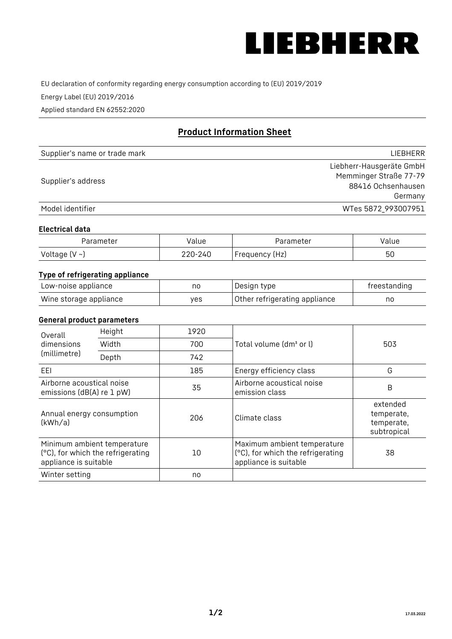

EU declaration of conformity regarding energy consumption according to (EU) 2019/2019

Energy Label (EU) 2019/2016

Applied standard EN 62552:2020

# **Product Information Sheet**

| Supplier's name or trade mark | LIEBHERR                 |
|-------------------------------|--------------------------|
|                               | Liebherr-Hausgeräte GmbH |
| Supplier's address            | Memminger Straße 77-79   |
|                               | 88416 Ochsenhausen       |
|                               | Germany                  |
| Model identifier              | WTes 5872_993007951      |

#### **Electrical data**

| Parameter     | Value   | Parameter      | Value |
|---------------|---------|----------------|-------|
| Voltage (V ~) | 220-240 | Frequency (Hz) | 50    |

## **Type of refrigerating appliance**

| Low-noise appliance    | no  | Design type                   | freestanding |
|------------------------|-----|-------------------------------|--------------|
| Wine storage appliance | ves | Other refrigerating appliance | no           |

#### **General product parameters**

| Height<br>Overall<br>dimensions<br>Width<br>(millimetre)<br>Depth                         | 1920 |     |                                                                                           |                                                     |
|-------------------------------------------------------------------------------------------|------|-----|-------------------------------------------------------------------------------------------|-----------------------------------------------------|
|                                                                                           |      | 700 | Total volume (dm <sup>3</sup> or l)                                                       | 503                                                 |
|                                                                                           |      | 742 |                                                                                           |                                                     |
| EEL                                                                                       |      | 185 | Energy efficiency class                                                                   | G                                                   |
| Airborne acoustical noise<br>emissions (dB(A) re 1 pW)                                    |      | 35  | Airborne acoustical noise<br>emission class                                               | B                                                   |
| Annual energy consumption<br>(kWh/a)                                                      |      | 206 | Climate class                                                                             | extended<br>temperate,<br>temperate,<br>subtropical |
| Minimum ambient temperature<br>(°C), for which the refrigerating<br>appliance is suitable |      | 10  | Maximum ambient temperature<br>(°C), for which the refrigerating<br>appliance is suitable | 38                                                  |
| Winter setting                                                                            |      | no  |                                                                                           |                                                     |